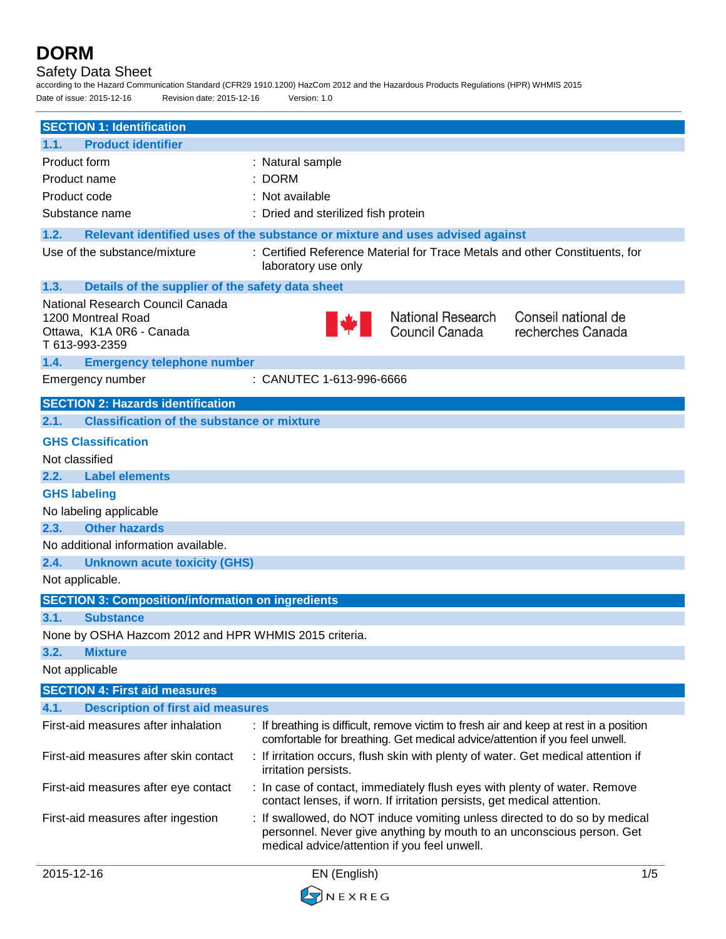**DORM** Safety Data Sheet according to the Hazard Communication Standard (CFR29 1910.1200) HazCom 2012 and the Hazardous Products Regulations (HPR) WHMIS 2015 Date of issue: 2015-12-16 Revision date: 2015-12-16 Version: 1.0 **SECTION 1: Identification 1.1. Product identifier** Product form : Natural sample Product name : DORM Product code : Not available Substance name : Dried and sterilized fish protein **1.2. Relevant identified uses of the substance or mixture and uses advised against** Use of the substance/mixture : Certified Reference Material for Trace Metals and other Constituents, for laboratory use only **1.3. Details of the supplier of the safety data sheet** National Research Council Canada National Research Conseil national de 1200 Montreal Road Council Canada recherches Canada Ottawa, K1A 0R6 - Canada T 613-993-2359 **1.4. Emergency telephone number** Emergency number : CANUTEC 1-613-996-6666 **SECTION 2: Hazards identification 2.1. Classification of the substance or mixture GHS Classification**  Not classified **2.2. Label elements GHS labeling** No labeling applicable **2.3. Other hazards** No additional information available. **2.4. Unknown acute toxicity (GHS)**

Not applicable.

**SECTION 3: Composition/information on ingredients**

#### **3.1. Substance**

None by OSHA Hazcom 2012 and HPR WHMIS 2015 criteria.

**3.2. Mixture**

#### Not applicable

| <b>SECTION 4: First aid measures</b>             |                                                                                                                                                                                                     |  |
|--------------------------------------------------|-----------------------------------------------------------------------------------------------------------------------------------------------------------------------------------------------------|--|
| 4.1.<br><b>Description of first aid measures</b> |                                                                                                                                                                                                     |  |
| First-aid measures after inhalation              | : If breathing is difficult, remove victim to fresh air and keep at rest in a position<br>comfortable for breathing. Get medical advice/attention if you feel unwell.                               |  |
| First-aid measures after skin contact            | : If irritation occurs, flush skin with plenty of water. Get medical attention if<br>irritation persists.                                                                                           |  |
| First-aid measures after eye contact             | : In case of contact, immediately flush eyes with plenty of water. Remove<br>contact lenses, if worn. If irritation persists, get medical attention.                                                |  |
| First-aid measures after ingestion               | : If swallowed, do NOT induce vomiting unless directed to do so by medical<br>personnel. Never give anything by mouth to an unconscious person. Get<br>medical advice/attention if you feel unwell. |  |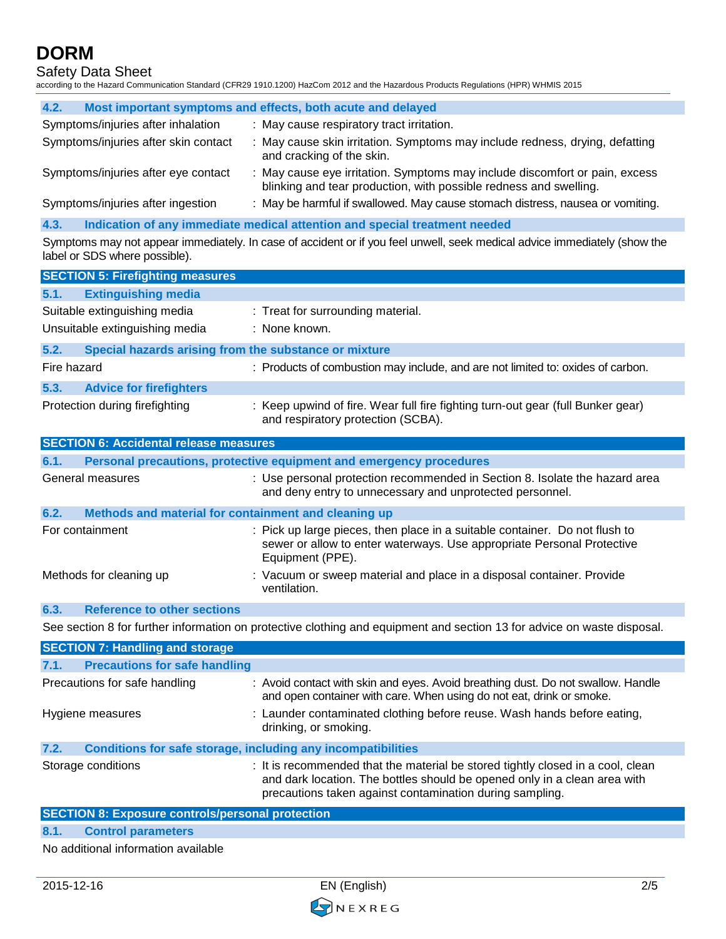Safety Data Sheet

according to the Hazard Communication Standard (CFR29 1910.1200) HazCom 2012 and the Hazardous Products Regulations (HPR) WHMIS 2015

| 4.2.                                 | Most important symptoms and effects, both acute and delayed                                                                                      |
|--------------------------------------|--------------------------------------------------------------------------------------------------------------------------------------------------|
| Symptoms/injuries after inhalation   | : May cause respiratory tract irritation.                                                                                                        |
| Symptoms/injuries after skin contact | : May cause skin irritation. Symptoms may include redness, drying, defatting<br>and cracking of the skin.                                        |
| Symptoms/injuries after eye contact  | : May cause eye irritation. Symptoms may include discomfort or pain, excess<br>blinking and tear production, with possible redness and swelling. |
| Symptoms/injuries after ingestion    | : May be harmful if swallowed. May cause stomach distress, nausea or vomiting.                                                                   |

**4.3. Indication of any immediate medical attention and special treatment needed**

Symptoms may not appear immediately. In case of accident or if you feel unwell, seek medical advice immediately (show the label or SDS where possible).

|                                               | <b>SECTION 5: Firefighting measures</b>               |                                                                                                                       |  |
|-----------------------------------------------|-------------------------------------------------------|-----------------------------------------------------------------------------------------------------------------------|--|
| 5.1.                                          | <b>Extinguishing media</b>                            |                                                                                                                       |  |
|                                               | Suitable extinguishing media                          | : Treat for surrounding material.                                                                                     |  |
|                                               | Unsuitable extinguishing media                        | : None known.                                                                                                         |  |
| 5.2.                                          | Special hazards arising from the substance or mixture |                                                                                                                       |  |
| Fire hazard                                   |                                                       | : Products of combustion may include, and are not limited to: oxides of carbon.                                       |  |
| 5.3.                                          | <b>Advice for firefighters</b>                        |                                                                                                                       |  |
|                                               | Protection during firefighting                        | : Keep upwind of fire. Wear full fire fighting turn-out gear (full Bunker gear)<br>and respiratory protection (SCBA). |  |
| <b>SECTION 6: Accidental release measures</b> |                                                       |                                                                                                                       |  |
| 6.1.                                          |                                                       | Personal precautions, protective equipment and emergency procedures                                                   |  |

| General measures                                             | : Use personal protection recommended in Section 8. Isolate the hazard area<br>and deny entry to unnecessary and unprotected personnel.                                   |
|--------------------------------------------------------------|---------------------------------------------------------------------------------------------------------------------------------------------------------------------------|
| 6.2.<br>Methods and material for containment and cleaning up |                                                                                                                                                                           |
| For containment                                              | : Pick up large pieces, then place in a suitable container. Do not flush to<br>sewer or allow to enter waterways. Use appropriate Personal Protective<br>Equipment (PPE). |
| Methods for cleaning up                                      | : Vacuum or sweep material and place in a disposal container. Provide<br>ventilation.                                                                                     |

## **6.3. Reference to other sections**

See section 8 for further information on protective clothing and equipment and section 13 for advice on waste disposal.

| <b>SECTION 7: Handling and storage</b>       |                                                                                                                                                                                                                          |
|----------------------------------------------|--------------------------------------------------------------------------------------------------------------------------------------------------------------------------------------------------------------------------|
| <b>Precautions for safe handling</b><br>7.1. |                                                                                                                                                                                                                          |
| Precautions for safe handling                | : Avoid contact with skin and eyes. Avoid breathing dust. Do not swallow. Handle<br>and open container with care. When using do not eat, drink or smoke.                                                                 |
| Hygiene measures                             | : Launder contaminated clothing before reuse. Wash hands before eating,<br>drinking, or smoking.                                                                                                                         |
| 7.2.                                         | Conditions for safe storage, including any incompatibilities                                                                                                                                                             |
| Storage conditions                           | : It is recommended that the material be stored tightly closed in a cool, clean<br>and dark location. The bottles should be opened only in a clean area with<br>precautions taken against contamination during sampling. |

## **SECTION 8: Exposure controls/personal protection**

#### **8.1. Control parameters**

No additional information available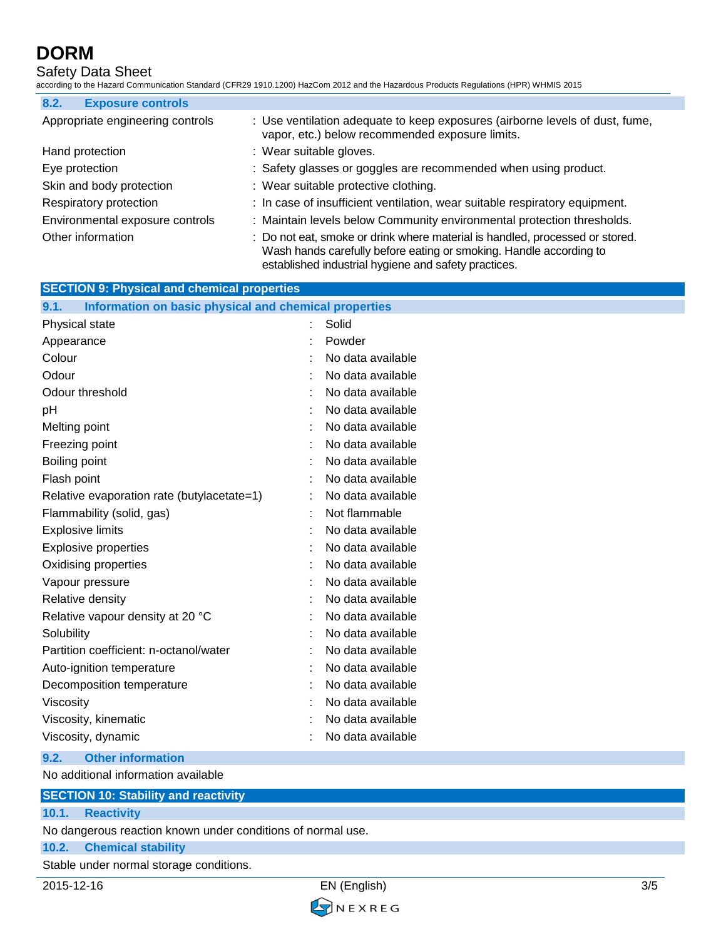## Safety Data Sheet

according to the Hazard Communication Standard (CFR29 1910.1200) HazCom 2012 and the Hazardous Products Regulations (HPR) WHMIS 2015

| 8.2.<br><b>Exposure controls</b> |                                                                                                                                                                                                            |
|----------------------------------|------------------------------------------------------------------------------------------------------------------------------------------------------------------------------------------------------------|
| Appropriate engineering controls | : Use ventilation adequate to keep exposures (airborne levels of dust, fume,<br>vapor, etc.) below recommended exposure limits.                                                                            |
| Hand protection                  | : Wear suitable gloves.                                                                                                                                                                                    |
| Eye protection                   | : Safety glasses or goggles are recommended when using product.                                                                                                                                            |
| Skin and body protection         | : Wear suitable protective clothing.                                                                                                                                                                       |
| Respiratory protection           | : In case of insufficient ventilation, wear suitable respiratory equipment.                                                                                                                                |
| Environmental exposure controls  | : Maintain levels below Community environmental protection thresholds.                                                                                                                                     |
| Other information                | : Do not eat, smoke or drink where material is handled, processed or stored.<br>Wash hands carefully before eating or smoking. Handle according to<br>established industrial hygiene and safety practices. |

| <b>SECTION 9: Physical and chemical properties</b>            |  |                   |
|---------------------------------------------------------------|--|-------------------|
| Information on basic physical and chemical properties<br>9.1. |  |                   |
| Physical state                                                |  | Solid             |
| Appearance                                                    |  | Powder            |
| Colour                                                        |  | No data available |
| Odour                                                         |  | No data available |
| Odour threshold                                               |  | No data available |
| pH                                                            |  | No data available |
| Melting point                                                 |  | No data available |
| Freezing point                                                |  | No data available |
| Boiling point                                                 |  | No data available |
| Flash point                                                   |  | No data available |
| Relative evaporation rate (butylacetate=1)                    |  | No data available |
| Flammability (solid, gas)                                     |  | Not flammable     |
| <b>Explosive limits</b>                                       |  | No data available |
| <b>Explosive properties</b>                                   |  | No data available |
| Oxidising properties                                          |  | No data available |
| Vapour pressure                                               |  | No data available |
| Relative density                                              |  | No data available |
| Relative vapour density at 20 °C                              |  | No data available |
| Solubility                                                    |  | No data available |
| Partition coefficient: n-octanol/water                        |  | No data available |
| Auto-ignition temperature                                     |  | No data available |
| Decomposition temperature                                     |  | No data available |
| Viscosity                                                     |  | No data available |
| Viscosity, kinematic                                          |  | No data available |
| Viscosity, dynamic                                            |  | No data available |

### **9.2. Other information**

No additional information available

## **SECTION 10: Stability and reactivity**

## **10.1. Reactivity**

No dangerous reaction known under conditions of normal use.

#### **10.2. Chemical stability**

Stable under normal storage conditions.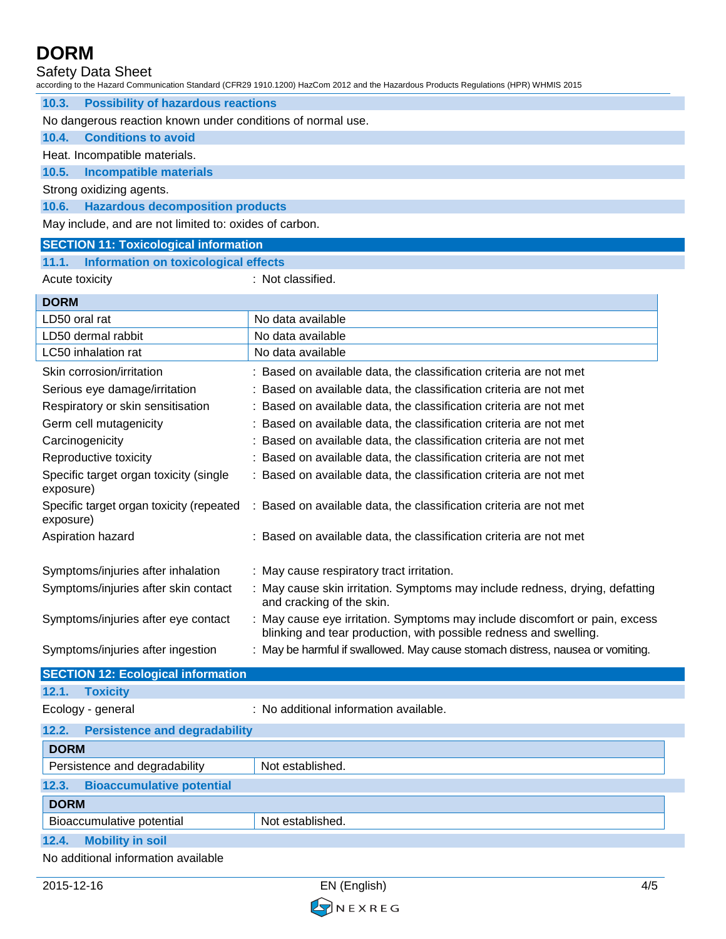Safety Data Sheet

according to the Hazard Communication Standard (CFR29 1910.1200) HazCom 2012 and the Hazardous Products Regulations (HPR) WHMIS 2015

**10.3. Possibility of hazardous reactions**

No dangerous reaction known under conditions of normal use.

**10.4. Conditions to avoid**

Heat. Incompatible materials.

### **10.5. Incompatible materials**

Strong oxidizing agents.

**10.6. Hazardous decomposition products**

May include, and are not limited to: oxides of carbon.

### **SECTION 11: Toxicological information**

## **11.1. Information on toxicological effects**

Acute toxicity **in the case of the CALC** in Not classified.

| <b>DORM</b>                                           |                                                                                                                                                |  |
|-------------------------------------------------------|------------------------------------------------------------------------------------------------------------------------------------------------|--|
| LD50 oral rat                                         | No data available                                                                                                                              |  |
| LD50 dermal rabbit                                    | No data available                                                                                                                              |  |
| LC50 inhalation rat                                   | No data available                                                                                                                              |  |
| Skin corrosion/irritation                             | Based on available data, the classification criteria are not met                                                                               |  |
| Serious eye damage/irritation                         | Based on available data, the classification criteria are not met                                                                               |  |
| Respiratory or skin sensitisation                     | Based on available data, the classification criteria are not met                                                                               |  |
| Germ cell mutagenicity                                | Based on available data, the classification criteria are not met                                                                               |  |
| Carcinogenicity                                       | Based on available data, the classification criteria are not met                                                                               |  |
| Reproductive toxicity                                 | Based on available data, the classification criteria are not met                                                                               |  |
| Specific target organ toxicity (single<br>exposure)   | Based on available data, the classification criteria are not met                                                                               |  |
| Specific target organ toxicity (repeated<br>exposure) | : Based on available data, the classification criteria are not met                                                                             |  |
| Aspiration hazard                                     | Based on available data, the classification criteria are not met                                                                               |  |
| Symptoms/injuries after inhalation                    | : May cause respiratory tract irritation.                                                                                                      |  |
| Symptoms/injuries after skin contact                  | May cause skin irritation. Symptoms may include redness, drying, defatting<br>and cracking of the skin.                                        |  |
| Symptoms/injuries after eye contact                   | May cause eye irritation. Symptoms may include discomfort or pain, excess<br>blinking and tear production, with possible redness and swelling. |  |
| Symptoms/injuries after ingestion                     | : May be harmful if swallowed. May cause stomach distress, nausea or vomiting.                                                                 |  |
| <b>SECTION 12: Ecological information</b>             |                                                                                                                                                |  |
| 12.1.<br><b>Toxicity</b>                              |                                                                                                                                                |  |
| Ecology - general                                     | : No additional information available.                                                                                                         |  |
| 12.2.<br><b>Persistence and degradability</b>         |                                                                                                                                                |  |
| <b>DORM</b>                                           |                                                                                                                                                |  |
| Persistence and degradability                         | Not established.                                                                                                                               |  |
| 12.3.<br><b>Bioaccumulative potential</b>             |                                                                                                                                                |  |
| <b>DORM</b>                                           |                                                                                                                                                |  |
| Bioaccumulative potential                             | Not established.                                                                                                                               |  |
| 12.4.<br><b>Mobility in soil</b>                      |                                                                                                                                                |  |

No additional information available